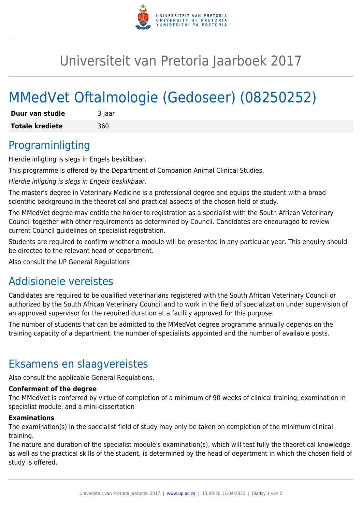

## Universiteit van Pretoria Jaarboek 2017

# MMedVet Oftalmologie (Gedoseer) (08250252)

| Duur van studie        | 3 jaar |
|------------------------|--------|
| <b>Totale krediete</b> | 360    |

### Programinligting

Hierdie inligting is slegs in Engels beskikbaar.

This programme is offered by the Department of Companion Animal Clinical Studies.

Hierdie inligting is slegs in Engels beskikbaar.

The master's degree in Veterinary Medicine is a professional degree and equips the student with a broad scientific background in the theoretical and practical aspects of the chosen field of study.

The MMedVet degree may entitle the holder to registration as a specialist with the South African Veterinary Council together with other requirements as determined by Council. Candidates are encouraged to review current Council guidelines on specialist registration.

Students are required to confirm whether a module will be presented in any particular year. This enquiry should be directed to the relevant head of department.

Also consult the UP General Regulations

### Addisionele vereistes

Candidates are required to be qualified veterinarians registered with the South African Veterinary Council or authorized by the South African Veterinary Council and to work in the field of specialization under supervision of an approved supervisor for the required duration at a facility approved for this purpose.

The number of students that can be admitted to the MMedVet degree programme annually depends on the training capacity of a department, the number of specialists appointed and the number of available posts.

### Eksamens en slaagvereistes

Also consult the applicable General Regulations.

#### **Conferment of the degree**

The MMedVet is conferred by virtue of completion of a minimum of 90 weeks of clinical training, examination in specialist module, and a mini-dissertation

#### **Examinations**

The examination(s) in the specialist field of study may only be taken on completion of the minimum clinical training.

The nature and duration of the specialist module's examination(s), which will test fully the theoretical knowledge as well as the practical skills of the student, is determined by the head of department in which the chosen field of study is offered.